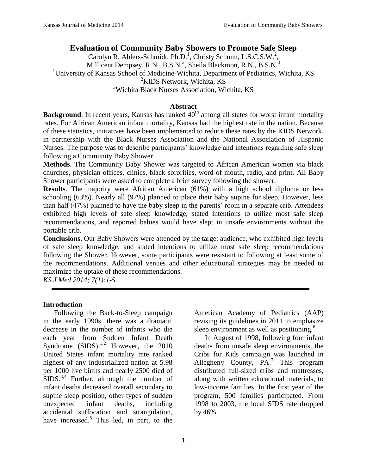### **Evaluation of Community Baby Showers to Promote Safe Sleep**

Carolyn R. Ahlers-Schmidt, Ph.D.<sup>1</sup>, Christy Schunn, L.S.C.S.W.<sup>2</sup>, Millicent Dempsey, R.N., B.S.N.<sup>3</sup>, Sheila Blackmon, R.N., B.S.N.<sup>3</sup> <sup>1</sup>University of Kansas School of Medicine-Wichita, Department of Pediatrics, Wichita, KS <sup>2</sup>KIDS Network, Wichita, KS <sup>3</sup>Wichita Black Nurses Association, Wichita, KS

### **Abstract**

**Background**. In recent years, Kansas has ranked 40<sup>th</sup> among all states for worst infant mortality rates. For African American infant mortality, Kansas had the highest rate in the nation. Because of these statistics, initiatives have been implemented to reduce these rates by the KIDS Network, in partnership with the Black Nurses Association and the National Association of Hispanic Nurses. The purpose was to describe participants' knowledge and intentions regarding safe sleep following a Community Baby Shower.

**Methods**. The Community Baby Shower was targeted to African American women via black churches, physician offices, clinics, black sororities, word of mouth, radio, and print. All Baby Shower participants were asked to complete a brief survey following the shower.

**Results**. The majority were African American (61%) with a high school diploma or less schooling (63%). Nearly all (97%) planned to place their baby supine for sleep. However, less than half (47%) planned to have the baby sleep in the parents' room in a separate crib. Attendees exhibited high levels of safe sleep knowledge, stated intentions to utilize most safe sleep recommendations, and reported babies would have slept in unsafe environments without the portable crib.

**Conclusions**. Our Baby Showers were attended by the target audience, who exhibited high levels of safe sleep knowledge, and stated intentions to utilize most safe sleep recommendations following the Shower. However, some participants were resistant to following at least some of the recommendations. Additional venues and other educational strategies may be needed to maximize the uptake of these recommendations.

*KS J Med 2014; 7(1):1-5.*

### **Introduction**

Following the Back-to-Sleep campaign in the early 1990s, there was a dramatic decrease in the number of infants who die each year from Sudden Infant Death Syndrome  $(SIDS).<sup>1,2</sup>$  However, the 2010 United States infant mortality rate ranked highest of any industrialized nation at 5.98 per 1000 live births and nearly 2500 died of  $SIDS^{3,4}$  Further, although the number of infant deaths decreased overall secondary to supine sleep position, other types of sudden unexpected infant deaths, including accidental suffocation and strangulation, have increased.<sup>5</sup> This led, in part, to the

American Academy of Pediatrics (AAP) revising its guidelines in 2011 to emphasize sleep environment as well as positioning.<sup>6</sup>

In August of 1998, following four infant deaths from unsafe sleep environments, the Cribs for Kids campaign was launched in Allegheny County,  $\overline{PA}$ .<sup>7</sup> This program distributed full-sized cribs and mattresses, along with written educational materials, to low-income families. In the first year of the program, 500 families participated. From 1998 to 2003, the local SIDS rate dropped by 46%.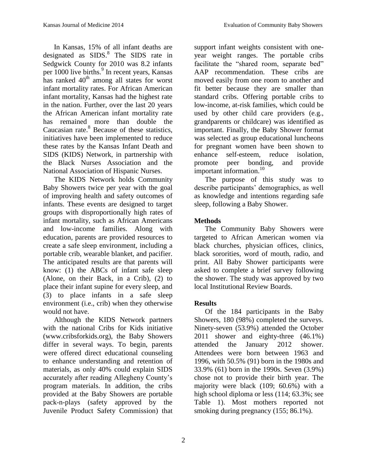In Kansas, 15% of all infant deaths are designated as  $SIDS$ .<sup>8</sup> The SIDS rate in Sedgwick County for 2010 was 8.2 infants per 1000 live births.<sup>9</sup> In recent years, Kansas has ranked  $40<sup>th</sup>$  among all states for worst infant mortality rates. For African American infant mortality, Kansas had the highest rate in the nation. Further, over the last 20 years the African American infant mortality rate has remained more than double the Caucasian rate.<sup>8</sup> Because of these statistics, initiatives have been implemented to reduce these rates by the Kansas Infant Death and SIDS (KIDS) Network, in partnership with the Black Nurses Association and the National Association of Hispanic Nurses.

The KIDS Network holds Community Baby Showers twice per year with the goal of improving health and safety outcomes of infants. These events are designed to target groups with disproportionally high rates of infant mortality, such as African Americans and low-income families. Along with education, parents are provided resources to create a safe sleep environment, including a portable crib, wearable blanket, and pacifier. The anticipated results are that parents will know: (1) the ABCs of infant safe sleep (Alone, on their Back, in a Crib), (2) to place their infant supine for every sleep, and (3) to place infants in a safe sleep environment (i.e., crib) when they otherwise would not have.

Although the KIDS Network partners with the national Cribs for Kids initiative (www.cribsforkids.org), the Baby Showers differ in several ways. To begin, parents were offered direct educational counseling to enhance understanding and retention of materials, as only 40% could explain SIDS accurately after reading Allegheny County's program materials. In addition, the cribs provided at the Baby Showers are portable pack-n-plays (safety approved by the Juvenile Product Safety Commission) that support infant weights consistent with oneyear weight ranges. The portable cribs facilitate the "shared room, separate bed" AAP recommendation. These cribs are moved easily from one room to another and fit better because they are smaller than standard cribs. Offering portable cribs to low-income, at-risk families, which could be used by other child care providers (e.g., grandparents or childcare) was identified as important. Finally, the Baby Shower format was selected as group educational luncheons for pregnant women have been shown to enhance self-esteem, reduce isolation, promote peer bonding, and provide important information. $10$ 

The purpose of this study was to describe participants' demographics, as well as knowledge and intentions regarding safe sleep, following a Baby Shower.

# **Methods**

The Community Baby Showers were targeted to African American women via black churches, physician offices, clinics, black sororities, word of mouth, radio, and print. All Baby Shower participants were asked to complete a brief survey following the shower. The study was approved by two local Institutional Review Boards.

## **Results**

Of the 184 participants in the Baby Showers, 180 (98%) completed the surveys. Ninety-seven (53.9%) attended the October 2011 shower and eighty-three (46.1%) attended the January 2012 shower. Attendees were born between 1963 and 1996, with 50.5% (91) born in the 1980s and 33.9% (61) born in the 1990s. Seven (3.9%) chose not to provide their birth year. The majority were black (109; 60.6%) with a high school diploma or less (114; 63.3%; see Table 1). Most mothers reported not smoking during pregnancy (155; 86.1%).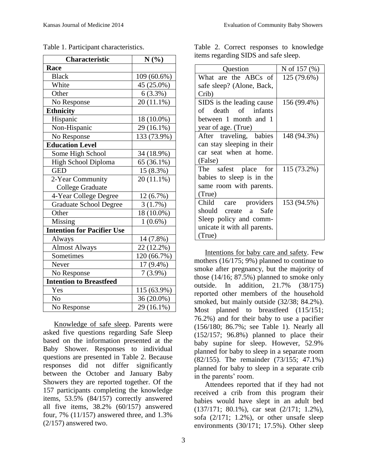| Characteristic                    | N(%)        |
|-----------------------------------|-------------|
| Race                              |             |
| <b>Black</b>                      | 109 (60.6%) |
| White                             | 45 (25.0%)  |
| Other                             | $6(3.3\%)$  |
| No Response                       | 20 (11.1%)  |
| <b>Ethnicity</b>                  |             |
| Hispanic                          | 18 (10.0%)  |
| Non-Hispanic                      | 29 (16.1%)  |
| No Response                       | 133 (73.9%) |
| <b>Education Level</b>            |             |
| Some High School                  | 34 (18.9%)  |
| High School Diploma               | 65 (36.1%)  |
| <b>GED</b>                        | 15 (8.3%)   |
| 2-Year Community                  | 20 (11.1%)  |
| <b>College Graduate</b>           |             |
| 4-Year College Degree             | 12 (6.7%)   |
| <b>Graduate School Degree</b>     | 3(1.7%)     |
| Other                             | 18 (10.0%)  |
| Missing                           | $1(0.6\%)$  |
| <b>Intention for Pacifier Use</b> |             |
| Always                            | 14 (7.8%)   |
| <b>Almost Always</b>              | 22 (12.2%)  |
| Sometimes                         | 120 (66.7%) |
| Never                             | 17 (9.4%)   |
| No Response                       | $7(3.9\%)$  |
| <b>Intention to Breastfeed</b>    |             |
| Yes                               | 115 (63.9%) |
| N <sub>o</sub>                    | 36 (20.0%)  |
| No Response                       | 29 (16.1%)  |

Table 1. Participant characteristics.

Knowledge of safe sleep. Parents were asked five questions regarding Safe Sleep based on the information presented at the Baby Shower. Responses to individual questions are presented in Table 2. Because responses did not differ significantly between the October and January Baby Showers they are reported together. Of the 157 participants completing the knowledge items, 53.5% (84/157) correctly answered all five items, 38.2% (60/157) answered four, 7% (11/157) answered three, and 1.3% (2/157) answered two.

Table 2. Correct responses to knowledge items regarding SIDS and safe sleep.

| Question                     | N of 157 $(\% )$ |
|------------------------------|------------------|
| What are the ABCs of         | 125 (79.6%)      |
| safe sleep? (Alone, Back,    |                  |
| Crib)                        |                  |
| SIDS is the leading cause    | 156 (99.4%)      |
| of death of infants          |                  |
| between 1 month and 1        |                  |
| year of age. (True)          |                  |
| After traveling, babies      | 148 (94.3%)      |
| can stay sleeping in their   |                  |
| car seat when at home.       |                  |
| (False)                      |                  |
| The safest place for         | 115 (73.2%)      |
| babies to sleep is in the    |                  |
| same room with parents.      |                  |
| (True)                       |                  |
| Child care providers         | 153 (94.5%)      |
| should create a Safe         |                  |
| Sleep policy and comm-       |                  |
| unicate it with all parents. |                  |
| (True)                       |                  |

Intentions for baby care and safety. Few mothers (16/175; 9%) planned to continue to smoke after pregnancy, but the majority of those (14/16; 87.5%) planned to smoke only outside. In addition, 21.7% (38/175) reported other members of the household smoked, but mainly outside (32/38; 84.2%). Most planned to breastfeed (115/151; 76.2%) and for their baby to use a pacifier (156/180; 86.7%; see Table 1). Nearly all (152/157; 96.8%) planned to place their baby supine for sleep. However, 52.9% planned for baby to sleep in a separate room (82/155). The remainder (73/155; 47.1%) planned for baby to sleep in a separate crib in the parents' room.

Attendees reported that if they had not received a crib from this program their babies would have slept in an adult bed (137/171; 80.1%), car seat (2/171; 1.2%), sofa (2/171; 1.2%), or other unsafe sleep environments (30/171; 17.5%). Other sleep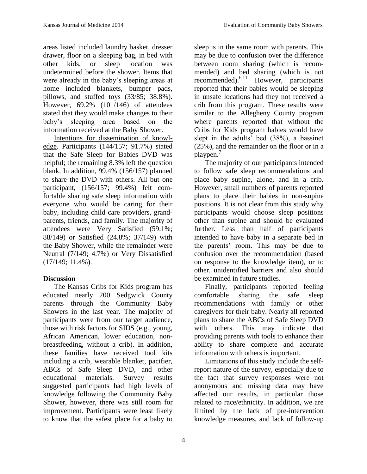areas listed included laundry basket, dresser drawer, floor on a sleeping bag, in bed with other kids, or sleep location was undetermined before the shower. Items that were already in the baby's sleeping areas at home included blankets, bumper pads, pillows, and stuffed toys (33/85; 38.8%). However, 69.2% (101/146) of attendees stated that they would make changes to their baby's sleeping area based on the information received at the Baby Shower.

Intentions for dissemination of knowledge. Participants (144/157; 91.7%) stated that the Safe Sleep for Babies DVD was helpful; the remaining 8.3% left the question blank. In addition, 99.4% (156/157) planned to share the DVD with others. All but one participant, (156/157; 99.4%) felt comfortable sharing safe sleep information with everyone who would be caring for their baby, including child care providers, grandparents, friends, and family. The majority of attendees were Very Satisfied (59.1%; 88/149) or Satisfied (24.8%; 37/149) with the Baby Shower, while the remainder were Neutral (7/149; 4.7%) or Very Dissatisfied (17/149; 11.4%).

## **Discussion**

The Kansas Cribs for Kids program has educated nearly 200 Sedgwick County parents through the Community Baby Showers in the last year. The majority of participants were from our target audience, those with risk factors for SIDS (e.g., young, African American, lower education, nonbreastfeeding, without a crib). In addition, these families have received tool kits including a crib, wearable blanket, pacifier, ABCs of Safe Sleep DVD, and other educational materials. Survey results suggested participants had high levels of knowledge following the Community Baby Shower, however, there was still room for improvement. Participants were least likely to know that the safest place for a baby to

sleep is in the same room with parents. This may be due to confusion over the difference between room sharing (which is recommended) and bed sharing (which is not recommended).6,11 However, participants reported that their babies would be sleeping in unsafe locations had they not received a crib from this program. These results were similar to the Allegheny County program where parents reported that without the Cribs for Kids program babies would have slept in the adults' bed (38%), a bassinet (25%), and the remainder on the floor or in a playpen.<sup>7</sup>

The majority of our participants intended to follow safe sleep recommendations and place baby supine, alone, and in a crib. However, small numbers of parents reported plans to place their babies in non-supine positions. It is not clear from this study why participants would choose sleep positions other than supine and should be evaluated further. Less than half of participants intended to have baby in a separate bed in the parents' room. This may be due to confusion over the recommendation (based on response to the knowledge item), or to other, unidentified barriers and also should be examined in future studies.

Finally, participants reported feeling comfortable sharing the safe sleep recommendations with family or other caregivers for their baby. Nearly all reported plans to share the ABCs of Safe Sleep DVD with others. This may indicate that providing parents with tools to enhance their ability to share complete and accurate information with others is important.

Limitations of this study include the selfreport nature of the survey, especially due to the fact that survey responses were not anonymous and missing data may have affected our results, in particular those related to race/ethnicity. In addition, we are limited by the lack of pre-intervention knowledge measures, and lack of follow-up